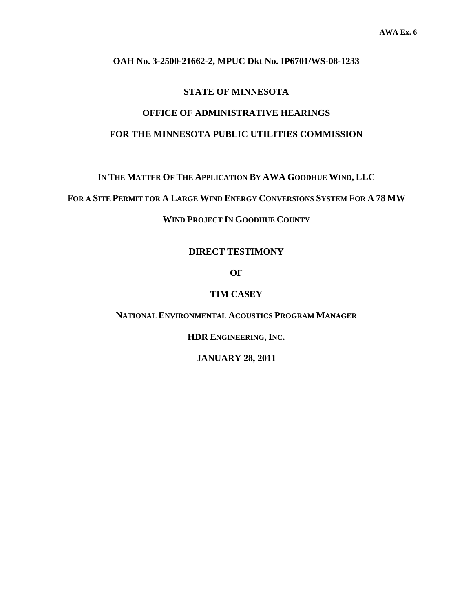#### **OAH No. 3-2500-21662-2, MPUC Dkt No. IP6701/WS-08-1233**

#### **STATE OF MINNESOTA**

# **OFFICE OF ADMINISTRATIVE HEARINGS**

## **FOR THE MINNESOTA PUBLIC UTILITIES COMMISSION**

**IN THE MATTER OF THE APPLICATION BY AWA GOODHUE WIND, LLC** 

**FOR A SITE PERMIT FOR A LARGE WIND ENERGY CONVERSIONS SYSTEM FOR A 78 MW**

**WIND PROJECT IN GOODHUE COUNTY** 

#### **DIRECT TESTIMONY**

**OF** 

#### **TIM CASEY**

**NATIONAL ENVIRONMENTAL ACOUSTICS PROGRAM MANAGER**

**HDR ENGINEERING, INC.** 

**JANUARY 28, 2011**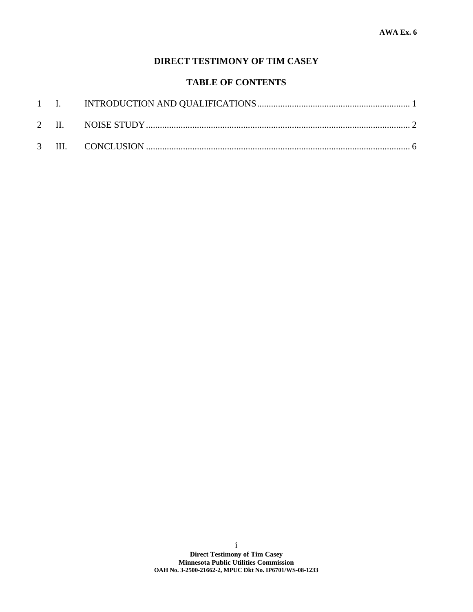# **DIRECT TESTIMONY OF TIM CASEY**

# **TABLE OF CONTENTS**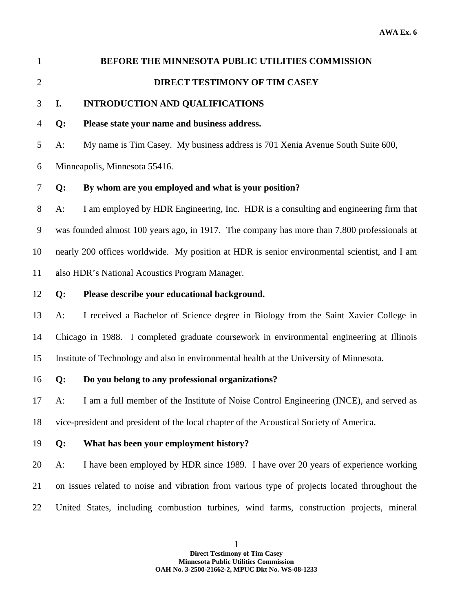# 1 **BEFORE THE MINNESOTA PUBLIC UTILITIES COMMISSION**  2 **DIRECT TESTIMONY OF TIM CASEY**

# 3 **I. INTRODUCTION AND QUALIFICATIONS**

# 4 **Q: Please state your name and business address.**

5 A: My name is Tim Casey. My business address is 701 Xenia Avenue South Suite 600,

6 Minneapolis, Minnesota 55416.

# 7 **Q: By whom are you employed and what is your position?**

8 A: I am employed by HDR Engineering, Inc. HDR is a consulting and engineering firm that 9 was founded almost 100 years ago, in 1917. The company has more than 7,800 professionals at 10 nearly 200 offices worldwide. My position at HDR is senior environmental scientist, and I am 11 also HDR's National Acoustics Program Manager.

12 **Q: Please describe your educational background.** 

13 A: I received a Bachelor of Science degree in Biology from the Saint Xavier College in 14 Chicago in 1988. I completed graduate coursework in environmental engineering at Illinois 15 Institute of Technology and also in environmental health at the University of Minnesota.

16 **Q: Do you belong to any professional organizations?** 

17 A: I am a full member of the Institute of Noise Control Engineering (INCE), and served as 18 vice-president and president of the local chapter of the Acoustical Society of America.

19 **Q: What has been your employment history?** 

20 A: I have been employed by HDR since 1989. I have over 20 years of experience working 21 on issues related to noise and vibration from various type of projects located throughout the 22 United States, including combustion turbines, wind farms, construction projects, mineral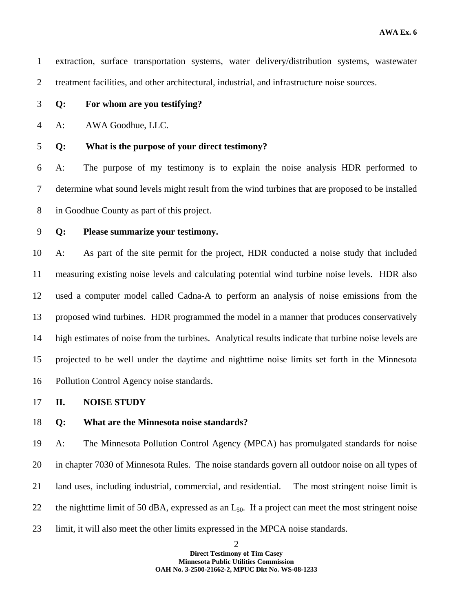| $\mathbf{1}$   | extraction, surface transportation systems, water delivery/distribution systems, wastewater          |
|----------------|------------------------------------------------------------------------------------------------------|
| $\overline{2}$ | treatment facilities, and other architectural, industrial, and infrastructure noise sources.         |
| 3              | For whom are you testifying?<br>Q:                                                                   |
| 4              | AWA Goodhue, LLC.<br>A:                                                                              |
| 5              | What is the purpose of your direct testimony?<br>Q:                                                  |
| 6              | The purpose of my testimony is to explain the noise analysis HDR performed to<br>$A$ :               |
| 7              | determine what sound levels might result from the wind turbines that are proposed to be installed    |
| 8              | in Goodhue County as part of this project.                                                           |
| 9              | Please summarize your testimony.<br>Q:                                                               |
| 10             | As part of the site permit for the project, HDR conducted a noise study that included<br>$A$ :       |
| 11             |                                                                                                      |
|                | measuring existing noise levels and calculating potential wind turbine noise levels. HDR also        |
| 12             | used a computer model called Cadna-A to perform an analysis of noise emissions from the              |
| 13             | proposed wind turbines. HDR programmed the model in a manner that produces conservatively            |
| 14             | high estimates of noise from the turbines. Analytical results indicate that turbine noise levels are |
| 15             | projected to be well under the daytime and nighttime noise limits set forth in the Minnesota         |

17 **II. NOISE STUDY** 

## 18 **Q: What are the Minnesota noise standards?**

19 A: The Minnesota Pollution Control Agency (MPCA) has promulgated standards for noise 20 in chapter 7030 of Minnesota Rules. The noise standards govern all outdoor noise on all types of 21 land uses, including industrial, commercial, and residential. The most stringent noise limit is 22 the nighttime limit of 50 dBA, expressed as an  $L_{50}$ . If a project can meet the most stringent noise 23 limit, it will also meet the other limits expressed in the MPCA noise standards.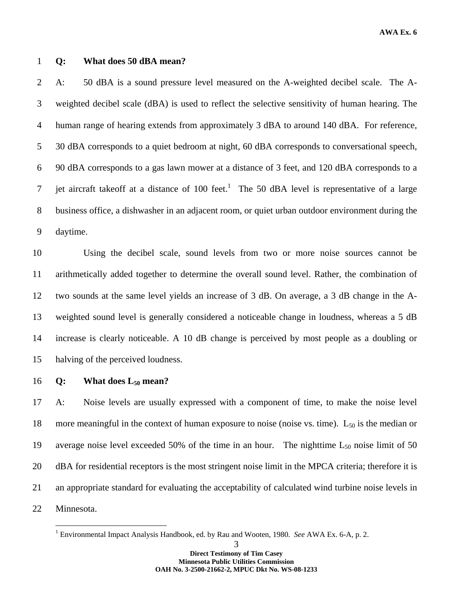**AWA Ex. 6** 

#### 1 **Q: What does 50 dBA mean?**

2 A: 50 dBA is a sound pressure level measured on the A-weighted decibel scale. The A-3 weighted decibel scale (dBA) is used to reflect the selective sensitivity of human hearing. The 4 human range of hearing extends from approximately 3 dBA to around 140 dBA. For reference, 5 30 dBA corresponds to a quiet bedroom at night, 60 dBA corresponds to conversational speech, 6 90 dBA corresponds to a gas lawn mower at a distance of 3 feet, and 120 dBA corresponds to a  $\frac{1}{7}$  jet aircraft takeoff at a distance of 100 feet.<sup>1</sup> The 50 dBA level is representative of a large 8 business office, a dishwasher in an adjacent room, or quiet urban outdoor environment during the 9 daytime.

10 Using the decibel scale, sound levels from two or more noise sources cannot be 11 arithmetically added together to determine the overall sound level. Rather, the combination of 12 two sounds at the same level yields an increase of 3 dB. On average, a 3 dB change in the A-13 weighted sound level is generally considered a noticeable change in loudness, whereas a 5 dB 14 increase is clearly noticeable. A 10 dB change is perceived by most people as a doubling or 15 halving of the perceived loudness.

16 **Q: What does L50 mean?** 

 $\overline{a}$ 

17 A: Noise levels are usually expressed with a component of time, to make the noise level 18 more meaningful in the context of human exposure to noise (noise vs. time).  $L_{50}$  is the median or 19 average noise level exceeded 50% of the time in an hour. The nighttime  $L_{50}$  noise limit of 50 20 dBA for residential receptors is the most stringent noise limit in the MPCA criteria; therefore it is 21 an appropriate standard for evaluating the acceptability of calculated wind turbine noise levels in 22 Minnesota.

<sup>&</sup>lt;sup>1</sup> Environmental Impact Analysis Handbook, ed. by Rau and Wooten, 1980. *See* AWA Ex. 6-A, p. 2.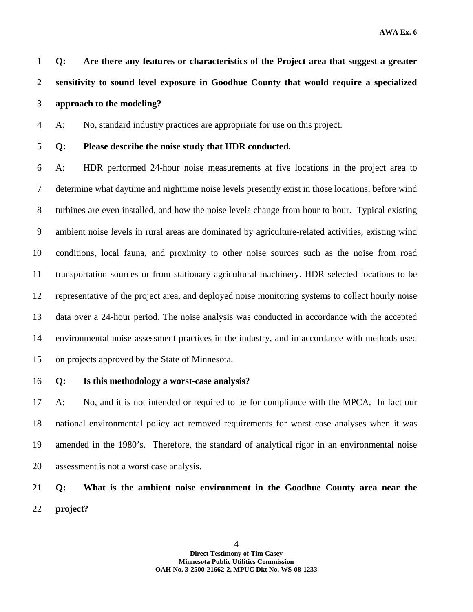1 **Q: Are there any features or characteristics of the Project area that suggest a greater**  2 **sensitivity to sound level exposure in Goodhue County that would require a specialized**  3 **approach to the modeling?** 

4 A: No, standard industry practices are appropriate for use on this project.

#### 5 **Q: Please describe the noise study that HDR conducted.**

6 A: HDR performed 24-hour noise measurements at five locations in the project area to 7 determine what daytime and nighttime noise levels presently exist in those locations, before wind 8 turbines are even installed, and how the noise levels change from hour to hour. Typical existing 9 ambient noise levels in rural areas are dominated by agriculture-related activities, existing wind 10 conditions, local fauna, and proximity to other noise sources such as the noise from road 11 transportation sources or from stationary agricultural machinery. HDR selected locations to be 12 representative of the project area, and deployed noise monitoring systems to collect hourly noise 13 data over a 24-hour period. The noise analysis was conducted in accordance with the accepted 14 environmental noise assessment practices in the industry, and in accordance with methods used 15 on projects approved by the State of Minnesota.

16 **Q: Is this methodology a worst-case analysis?** 

17 A: No, and it is not intended or required to be for compliance with the MPCA. In fact our 18 national environmental policy act removed requirements for worst case analyses when it was 19 amended in the 1980's. Therefore, the standard of analytical rigor in an environmental noise 20 assessment is not a worst case analysis.

# 21 **Q: What is the ambient noise environment in the Goodhue County area near the**  22 **project?**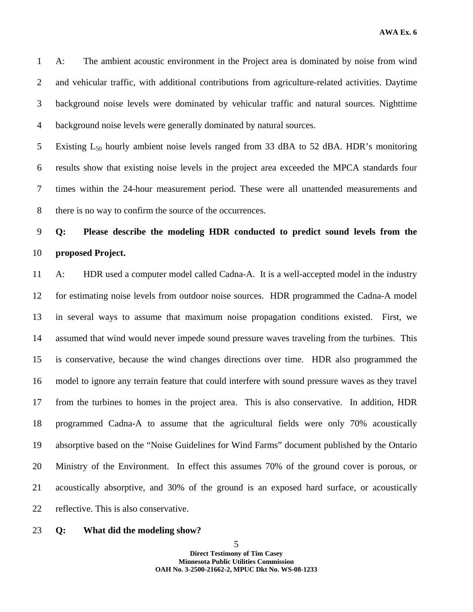**AWA Ex. 6** 

1 A: The ambient acoustic environment in the Project area is dominated by noise from wind 2 and vehicular traffic, with additional contributions from agriculture-related activities. Daytime 3 background noise levels were dominated by vehicular traffic and natural sources. Nighttime 4 background noise levels were generally dominated by natural sources.

5 Existing  $L_{50}$  hourly ambient noise levels ranged from 33 dBA to 52 dBA. HDR's monitoring 6 results show that existing noise levels in the project area exceeded the MPCA standards four 7 times within the 24-hour measurement period. These were all unattended measurements and 8 there is no way to confirm the source of the occurrences.

# 9 **Q: Please describe the modeling HDR conducted to predict sound levels from the**  10 **proposed Project.**

11 A: HDR used a computer model called Cadna-A. It is a well-accepted model in the industry 12 for estimating noise levels from outdoor noise sources. HDR programmed the Cadna-A model 13 in several ways to assume that maximum noise propagation conditions existed. First, we 14 assumed that wind would never impede sound pressure waves traveling from the turbines. This 15 is conservative, because the wind changes directions over time. HDR also programmed the 16 model to ignore any terrain feature that could interfere with sound pressure waves as they travel 17 from the turbines to homes in the project area. This is also conservative. In addition, HDR 18 programmed Cadna-A to assume that the agricultural fields were only 70% acoustically 19 absorptive based on the "Noise Guidelines for Wind Farms" document published by the Ontario 20 Ministry of the Environment. In effect this assumes 70% of the ground cover is porous, or 21 acoustically absorptive, and 30% of the ground is an exposed hard surface, or acoustically 22 reflective. This is also conservative.

#### 23 **Q: What did the modeling show?**

5 **Direct Testimony of Tim Casey Minnesota Public Utilities Commission OAH No. 3-2500-21662-2, MPUC Dkt No. WS-08-1233**